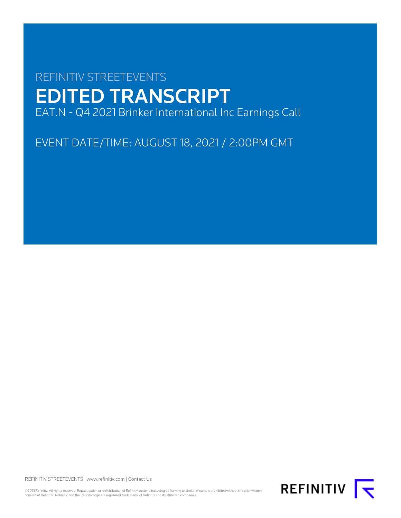# REFINITIV STREETEVENTS EDITED TRANSCRIPT EAT.N - Q4 2021 Brinker International Inc Earnings Call

EVENT DATE/TIME: AUGUST 18, 2021 / 2:00PM GMT

REFINITIV STREETEVENTS | [www.refinitiv.com](https://www.refinitiv.com/) | [Contact Us](https://www.refinitiv.com/en/contact-us)

©2021 Refinitiv. All rights reserved. Republication or redistribution of Refinitiv content, including by framing or similar means, is prohibited without the prior written consent of Refinitiv. 'Refinitiv' and the Refinitiv logo are registered trademarks of Refinitiv and its affiliated companies.

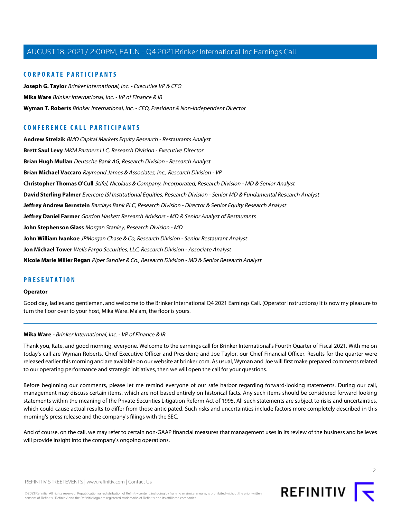# **CORPORATE PARTICIPANTS**

**[Joseph G. Taylor](#page-3-0)** Brinker International, Inc. - Executive VP & CFO **[Mika Ware](#page-1-0)** Brinker International, Inc. - VP of Finance & IR **[Wyman T. Roberts](#page-2-0)** Brinker International, Inc. - CEO, President & Non-Independent Director

# **CONFERENCE CALL PARTICIPANTS**

**[Andrew Strelzik](#page-12-0)** BMO Capital Markets Equity Research - Restaurants Analyst **[Brett Saul Levy](#page-9-0)** MKM Partners LLC, Research Division - Executive Director **[Brian Hugh Mullan](#page-10-0)** Deutsche Bank AG, Research Division - Research Analyst **[Brian Michael Vaccaro](#page-14-0)** Raymond James & Associates, Inc., Research Division - VP **[Christopher Thomas O'Cull](#page-6-0)** Stifel, Nicolaus & Company, Incorporated, Research Division - MD & Senior Analyst **[David Sterling Palmer](#page-5-0)** Evercore ISI Institutional Equities, Research Division - Senior MD & Fundamental Research Analyst **[Jeffrey Andrew Bernstein](#page-18-0)** Barclays Bank PLC, Research Division - Director & Senior Equity Research Analyst **[Jeffrey Daniel Farmer](#page-13-0)** Gordon Haskett Research Advisors - MD & Senior Analyst of Restaurants **[John Stephenson Glass](#page-16-0)** Morgan Stanley, Research Division - MD **[John William Ivankoe](#page-17-0)** JPMorgan Chase & Co, Research Division - Senior Restaurant Analyst **[Jon Michael Tower](#page-7-0)** Wells Fargo Securities, LLC, Research Division - Associate Analyst **[Nicole Marie Miller Regan](#page-11-0)** Piper Sandler & Co., Research Division - MD & Senior Research Analyst

# **PRESENTATION**

#### **Operator**

<span id="page-1-0"></span>Good day, ladies and gentlemen, and welcome to the Brinker International Q4 2021 Earnings Call. (Operator Instructions) It is now my pleasure to turn the floor over to your host, Mika Ware. Ma'am, the floor is yours.

#### **Mika Ware** - Brinker International, Inc. - VP of Finance & IR

Thank you, Kate, and good morning, everyone. Welcome to the earnings call for Brinker International's Fourth Quarter of Fiscal 2021. With me on today's call are Wyman Roberts, Chief Executive Officer and President; and Joe Taylor, our Chief Financial Officer. Results for the quarter were released earlier this morning and are available on our website at brinker.com. As usual, Wyman and Joe will first make prepared comments related to our operating performance and strategic initiatives, then we will open the call for your questions.

Before beginning our comments, please let me remind everyone of our safe harbor regarding forward-looking statements. During our call, management may discuss certain items, which are not based entirely on historical facts. Any such items should be considered forward-looking statements within the meaning of the Private Securities Litigation Reform Act of 1995. All such statements are subject to risks and uncertainties, which could cause actual results to differ from those anticipated. Such risks and uncertainties include factors more completely described in this morning's press release and the company's filings with the SEC.

And of course, on the call, we may refer to certain non-GAAP financial measures that management uses in its review of the business and believes will provide insight into the company's ongoing operations.



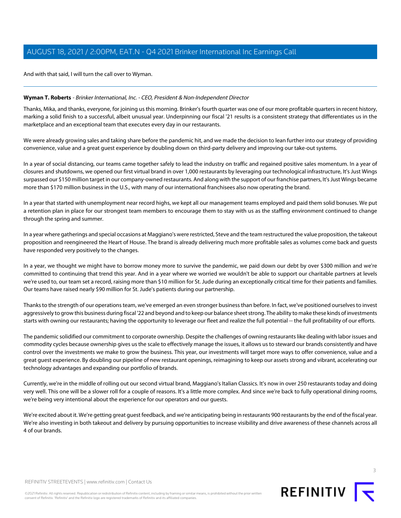And with that said, I will turn the call over to Wyman.

# <span id="page-2-0"></span>**Wyman T. Roberts** - Brinker International, Inc. - CEO, President & Non-Independent Director

Thanks, Mika, and thanks, everyone, for joining us this morning. Brinker's fourth quarter was one of our more profitable quarters in recent history, marking a solid finish to a successful, albeit unusual year. Underpinning our fiscal '21 results is a consistent strategy that differentiates us in the marketplace and an exceptional team that executes every day in our restaurants.

We were already growing sales and taking share before the pandemic hit, and we made the decision to lean further into our strategy of providing convenience, value and a great guest experience by doubling down on third-party delivery and improving our take-out systems.

In a year of social distancing, our teams came together safely to lead the industry on traffic and regained positive sales momentum. In a year of closures and shutdowns, we opened our first virtual brand in over 1,000 restaurants by leveraging our technological infrastructure, It's Just Wings surpassed our \$150 million target in our company-owned restaurants. And along with the support of our franchise partners, It's Just Wings became more than \$170 million business in the U.S., with many of our international franchisees also now operating the brand.

In a year that started with unemployment near record highs, we kept all our management teams employed and paid them solid bonuses. We put a retention plan in place for our strongest team members to encourage them to stay with us as the staffing environment continued to change through the spring and summer.

In a year where gatherings and special occasions at Maggiano's were restricted, Steve and the team restructured the value proposition, the takeout proposition and reengineered the Heart of House. The brand is already delivering much more profitable sales as volumes come back and guests have responded very positively to the changes.

In a year, we thought we might have to borrow money more to survive the pandemic, we paid down our debt by over \$300 million and we're committed to continuing that trend this year. And in a year where we worried we wouldn't be able to support our charitable partners at levels we're used to, our team set a record, raising more than \$10 million for St. Jude during an exceptionally critical time for their patients and families. Our teams have raised nearly \$90 million for St. Jude's patients during our partnership.

Thanks to the strength of our operations team, we've emerged an even stronger business than before. In fact, we've positioned ourselves to invest aggressively to grow this business during fiscal '22 and beyond and to keep our balance sheet strong. The ability to make these kinds of investments starts with owning our restaurants; having the opportunity to leverage our fleet and realize the full potential -- the full profitability of our efforts.

The pandemic solidified our commitment to corporate ownership. Despite the challenges of owning restaurants like dealing with labor issues and commodity cycles because ownership gives us the scale to effectively manage the issues, it allows us to steward our brands consistently and have control over the investments we make to grow the business. This year, our investments will target more ways to offer convenience, value and a great guest experience. By doubling our pipeline of new restaurant openings, reimagining to keep our assets strong and vibrant, accelerating our technology advantages and expanding our portfolio of brands.

Currently, we're in the middle of rolling out our second virtual brand, Maggiano's Italian Classics. It's now in over 250 restaurants today and doing very well. This one will be a slower roll for a couple of reasons. It's a little more complex. And since we're back to fully operational dining rooms, we're being very intentional about the experience for our operators and our guests.

We're excited about it. We're getting great guest feedback, and we're anticipating being in restaurants 900 restaurants by the end of the fiscal year. We're also investing in both takeout and delivery by pursuing opportunities to increase visibility and drive awareness of these channels across all 4 of our brands.



©2021 Refinitiv. All rights reserved. Republication or redistribution of Refinitiv content, including by framing or similar means, is prohibited without the prior written consent of Refinitiv. 'Refinitiv' and the Refinitiv logo are registered trademarks of Refinitiv and its affiliated companies.

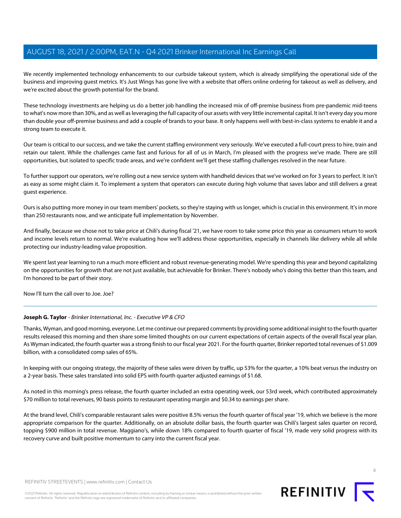We recently implemented technology enhancements to our curbside takeout system, which is already simplifying the operational side of the business and improving guest metrics. It's Just Wings has gone live with a website that offers online ordering for takeout as well as delivery, and we're excited about the growth potential for the brand.

These technology investments are helping us do a better job handling the increased mix of off-premise business from pre-pandemic mid-teens to what's now more than 30%, and as well as leveraging the full capacity of our assets with very little incremental capital. It isn't every day you more than double your off-premise business and add a couple of brands to your base. It only happens well with best-in-class systems to enable it and a strong team to execute it.

Our team is critical to our success, and we take the current staffing environment very seriously. We've executed a full-court press to hire, train and retain our talent. While the challenges came fast and furious for all of us in March, I'm pleased with the progress we've made. There are still opportunities, but isolated to specific trade areas, and we're confident we'll get these staffing challenges resolved in the near future.

To further support our operators, we're rolling out a new service system with handheld devices that we've worked on for 3 years to perfect. It isn't as easy as some might claim it. To implement a system that operators can execute during high volume that saves labor and still delivers a great guest experience.

Ours is also putting more money in our team members' pockets, so they're staying with us longer, which is crucial in this environment. It's in more than 250 restaurants now, and we anticipate full implementation by November.

And finally, because we chose not to take price at Chili's during fiscal '21, we have room to take some price this year as consumers return to work and income levels return to normal. We're evaluating how we'll address those opportunities, especially in channels like delivery while all while protecting our industry-leading value proposition.

We spent last year learning to run a much more efficient and robust revenue-generating model. We're spending this year and beyond capitalizing on the opportunities for growth that are not just available, but achievable for Brinker. There's nobody who's doing this better than this team, and I'm honored to be part of their story.

<span id="page-3-0"></span>Now I'll turn the call over to Joe. Joe?

# **Joseph G. Taylor** - Brinker International, Inc. - Executive VP & CFO

Thanks, Wyman, and good morning, everyone. Let me continue our prepared comments by providing some additional insight to the fourth quarter results released this morning and then share some limited thoughts on our current expectations of certain aspects of the overall fiscal year plan. As Wyman indicated, the fourth quarter was a strong finish to our fiscal year 2021. For the fourth quarter, Brinker reported total revenues of \$1.009 billion, with a consolidated comp sales of 65%.

In keeping with our ongoing strategy, the majority of these sales were driven by traffic, up 53% for the quarter, a 10% beat versus the industry on a 2-year basis. These sales translated into solid EPS with fourth quarter adjusted earnings of \$1.68.

As noted in this morning's press release, the fourth quarter included an extra operating week, our 53rd week, which contributed approximately \$70 million to total revenues, 90 basis points to restaurant operating margin and \$0.34 to earnings per share.

At the brand level, Chili's comparable restaurant sales were positive 8.5% versus the fourth quarter of fiscal year '19, which we believe is the more appropriate comparison for the quarter. Additionally, on an absolute dollar basis, the fourth quarter was Chili's largest sales quarter on record, topping \$900 million in total revenue. Maggiano's, while down 18% compared to fourth quarter of fiscal '19, made very solid progress with its recovery curve and built positive momentum to carry into the current fiscal year.



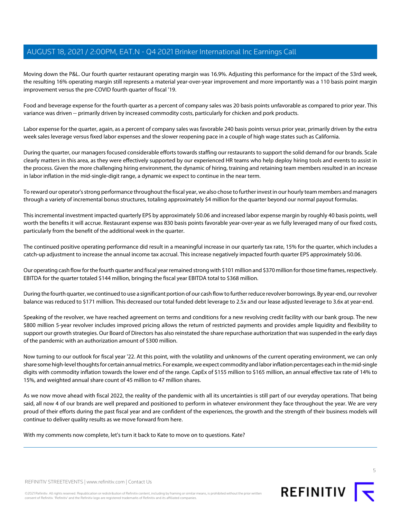Moving down the P&L. Our fourth quarter restaurant operating margin was 16.9%. Adjusting this performance for the impact of the 53rd week, the resulting 16% operating margin still represents a material year-over-year improvement and more importantly was a 110 basis point margin improvement versus the pre-COVID fourth quarter of fiscal '19.

Food and beverage expense for the fourth quarter as a percent of company sales was 20 basis points unfavorable as compared to prior year. This variance was driven -- primarily driven by increased commodity costs, particularly for chicken and pork products.

Labor expense for the quarter, again, as a percent of company sales was favorable 240 basis points versus prior year, primarily driven by the extra week sales leverage versus fixed labor expenses and the slower reopening pace in a couple of high wage states such as California.

During the quarter, our managers focused considerable efforts towards staffing our restaurants to support the solid demand for our brands. Scale clearly matters in this area, as they were effectively supported by our experienced HR teams who help deploy hiring tools and events to assist in the process. Given the more challenging hiring environment, the dynamic of hiring, training and retaining team members resulted in an increase in labor inflation in the mid-single-digit range, a dynamic we expect to continue in the near term.

To reward our operator's strong performance throughout the fiscal year, we also chose to further invest in our hourly team members and managers through a variety of incremental bonus structures, totaling approximately \$4 million for the quarter beyond our normal payout formulas.

This incremental investment impacted quarterly EPS by approximately \$0.06 and increased labor expense margin by roughly 40 basis points, well worth the benefits it will accrue. Restaurant expense was 830 basis points favorable year-over-year as we fully leveraged many of our fixed costs, particularly from the benefit of the additional week in the quarter.

The continued positive operating performance did result in a meaningful increase in our quarterly tax rate, 15% for the quarter, which includes a catch-up adjustment to increase the annual income tax accrual. This increase negatively impacted fourth quarter EPS approximately \$0.06.

Our operating cash flow for the fourth quarter and fiscal year remained strong with \$101 million and \$370 million for those time frames, respectively. EBITDA for the quarter totaled \$144 million, bringing the fiscal year EBITDA total to \$368 million.

During the fourth quarter, we continued to use a significant portion of our cash flow to further reduce revolver borrowings. By year-end, our revolver balance was reduced to \$171 million. This decreased our total funded debt leverage to 2.5x and our lease adjusted leverage to 3.6x at year-end.

Speaking of the revolver, we have reached agreement on terms and conditions for a new revolving credit facility with our bank group. The new \$800 million 5-year revolver includes improved pricing allows the return of restricted payments and provides ample liquidity and flexibility to support our growth strategies. Our Board of Directors has also reinstated the share repurchase authorization that was suspended in the early days of the pandemic with an authorization amount of \$300 million.

Now turning to our outlook for fiscal year '22. At this point, with the volatility and unknowns of the current operating environment, we can only share some high-level thoughts for certain annual metrics. For example, we expect commodity and labor inflation percentages each in the mid-single digits with commodity inflation towards the lower end of the range. CapEx of \$155 million to \$165 million, an annual effective tax rate of 14% to 15%, and weighted annual share count of 45 million to 47 million shares.

As we now move ahead with fiscal 2022, the reality of the pandemic with all its uncertainties is still part of our everyday operations. That being said, all now 4 of our brands are well prepared and positioned to perform in whatever environment they face throughout the year. We are very proud of their efforts during the past fiscal year and are confident of the experiences, the growth and the strength of their business models will continue to deliver quality results as we move forward from here.

With my comments now complete, let's turn it back to Kate to move on to questions. Kate?



©2021 Refinitiv. All rights reserved. Republication or redistribution of Refinitiv content, including by framing or similar means, is prohibited without the prior written consent of Refinitiv. 'Refinitiv' and the Refinitiv logo are registered trademarks of Refinitiv and its affiliated companies.

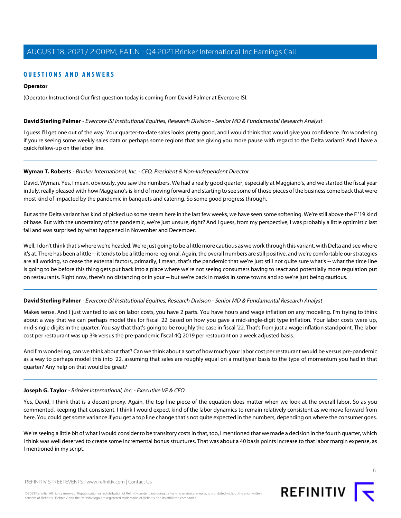# **QUESTIONS AND ANSWERS**

# **Operator**

(Operator Instructions) Our first question today is coming from David Palmer at Evercore ISI.

#### <span id="page-5-0"></span>**David Sterling Palmer** - Evercore ISI Institutional Equities, Research Division - Senior MD & Fundamental Research Analyst

I guess I'll get one out of the way. Your quarter-to-date sales looks pretty good, and I would think that would give you confidence. I'm wondering if you're seeing some weekly sales data or perhaps some regions that are giving you more pause with regard to the Delta variant? And I have a quick follow-up on the labor line.

#### **Wyman T. Roberts** - Brinker International, Inc. - CEO, President & Non-Independent Director

David, Wyman. Yes, I mean, obviously, you saw the numbers. We had a really good quarter, especially at Maggiano's, and we started the fiscal year in July, really pleased with how Maggiano's is kind of moving forward and starting to see some of those pieces of the business come back that were most kind of impacted by the pandemic in banquets and catering. So some good progress through.

But as the Delta variant has kind of picked up some steam here in the last few weeks, we have seen some softening. We're still above the F '19 kind of base. But with the uncertainty of the pandemic, we're just unsure, right? And I guess, from my perspective, I was probably a little optimistic last fall and was surprised by what happened in November and December.

Well, I don't think that's where we're headed. We're just going to be a little more cautious as we work through this variant, with Delta and see where it's at. There has been a little -- it tends to be a little more regional. Again, the overall numbers are still positive, and we're comfortable our strategies are all working, so cease the external factors, primarily, I mean, that's the pandemic that we're just still not quite sure what's -- what the time line is going to be before this thing gets put back into a place where we're not seeing consumers having to react and potentially more regulation put on restaurants. Right now, there's no distancing or in your -- but we're back in masks in some towns and so we're just being cautious.

# **David Sterling Palmer** - Evercore ISI Institutional Equities, Research Division - Senior MD & Fundamental Research Analyst

Makes sense. And I just wanted to ask on labor costs, you have 2 parts. You have hours and wage inflation on any modeling. I'm trying to think about a way that we can perhaps model this for fiscal '22 based on how you gave a mid-single-digit type inflation. Your labor costs were up, mid-single digits in the quarter. You say that that's going to be roughly the case in fiscal '22. That's from just a wage inflation standpoint. The labor cost per restaurant was up 3% versus the pre-pandemic fiscal 4Q 2019 per restaurant on a week adjusted basis.

And I'm wondering, can we think about that? Can we think about a sort of how much your labor cost per restaurant would be versus pre-pandemic as a way to perhaps model this into '22, assuming that sales are roughly equal on a multiyear basis to the type of momentum you had in that quarter? Any help on that would be great?

# **Joseph G. Taylor** - Brinker International, Inc. - Executive VP & CFO

Yes, David, I think that is a decent proxy. Again, the top line piece of the equation does matter when we look at the overall labor. So as you commented, keeping that consistent, I think I would expect kind of the labor dynamics to remain relatively consistent as we move forward from here. You could get some variance if you get a top line change that's not quite expected in the numbers, depending on where the consumer goes.

We're seeing a little bit of what I would consider to be transitory costs in that, too, I mentioned that we made a decision in the fourth quarter, which I think was well deserved to create some incremental bonus structures. That was about a 40 basis points increase to that labor margin expense, as I mentioned in my script.

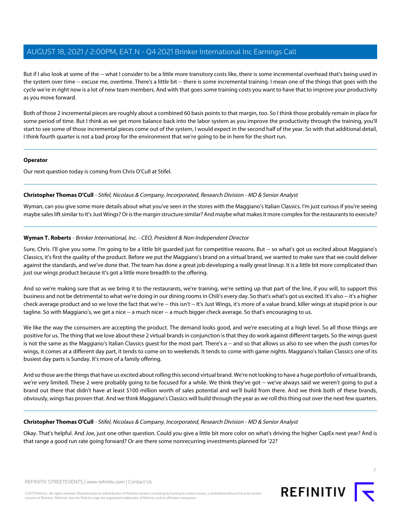But if I also look at some of the -- what I consider to be a little more transitory costs like, there is some incremental overhead that's being used in the system over time -- excuse me, overtime. There's a little bit -- there is some incremental training. I mean one of the things that goes with the cycle we're in right now is a lot of new team members. And with that goes some training costs you want to have that to improve your productivity as you move forward.

Both of those 2 incremental pieces are roughly about a combined 60 basis points to that margin, too. So I think those probably remain in place for some period of time. But I think as we get more balance back into the labor system as you improve the productivity through the training, you'll start to see some of those incremental pieces come out of the system, I would expect in the second half of the year. So with that additional detail, I think fourth quarter is not a bad proxy for the environment that we're going to be in here for the short run.

#### **Operator**

<span id="page-6-0"></span>Our next question today is coming from Chris O'Cull at Stifel.

# **Christopher Thomas O'Cull** - Stifel, Nicolaus & Company, Incorporated, Research Division - MD & Senior Analyst

Wyman, can you give some more details about what you've seen in the stores with the Maggiano's Italian Classics. I'm just curious if you're seeing maybe sales lift similar to It's Just Wings? Or is the margin structure similar? And maybe what makes it more complex for the restaurants to execute?

# **Wyman T. Roberts** - Brinker International, Inc. - CEO, President & Non-Independent Director

Sure, Chris. I'll give you some. I'm going to be a little bit guarded just for competitive reasons. But -- so what's got us excited about Maggiano's Classics, it's first the quality of the product. Before we put the Maggiano's brand on a virtual brand, we wanted to make sure that we could deliver against the standards, and we've done that. The team has done a great job developing a really great lineup. It is a little bit more complicated than just our wings product because it's got a little more breadth to the offering.

And so we're making sure that as we bring it to the restaurants, we're training, we're setting up that part of the line, if you will, to support this business and not be detrimental to what we're doing in our dining rooms in Chili's every day. So that's what's got us excited. It's also -- it's a higher check average product and so we love the fact that we're -- this isn't -- It's Just Wings, it's more of a value brand, killer wings at stupid price is our tagline. So with Maggiano's, we get a nice -- a much nicer -- a much bigger check average. So that's encouraging to us.

We like the way the consumers are accepting the product. The demand looks good, and we're executing at a high level. So all those things are positive for us. The thing that we love about these 2 virtual brands in conjunction is that they do work against different targets. So the wings guest is not the same as the Maggiano's Italian Classics guest for the most part. There's a -- and so that allows us also to see when the push comes for wings, it comes at a different day part, it tends to come on to weekends. It tends to come with game nights. Maggiano's Italian Classics one of its busiest day parts is Sunday. It's more of a family offering.

And so those are the things that have us excited about rolling this second virtual brand. We're not looking to have a huge portfolio of virtual brands, we're very limited. These 2 were probably going to be focused for a while. We think they've got -- we've always said we weren't going to put a brand out there that didn't have at least \$100 million worth of sales potential and we'll build from there. And we think both of these brands, obviously, wings has proven that. And we think Maggiano's Classics will build through the year as we roll this thing out over the next few quarters.

# **Christopher Thomas O'Cull** - Stifel, Nicolaus & Company, Incorporated, Research Division - MD & Senior Analyst

Okay. That's helpful. And Joe, just one other question. Could you give a little bit more color on what's driving the higher CapEx next year? And is that range a good run rate going forward? Or are there some nonrecurring investments planned for '22?



7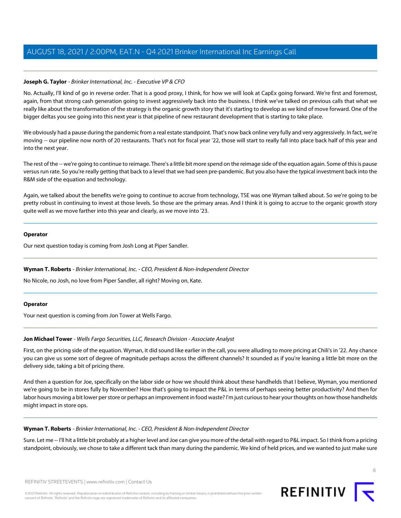# **Joseph G. Taylor** - Brinker International, Inc. - Executive VP & CFO

No. Actually, I'll kind of go in reverse order. That is a good proxy, I think, for how we will look at CapEx going forward. We're first and foremost, again, from that strong cash generation going to invest aggressively back into the business. I think we've talked on previous calls that what we really like about the transformation of the strategy is the organic growth story that it's starting to develop as we kind of move forward. One of the bigger deltas you see going into this next year is that pipeline of new restaurant development that is starting to take place.

We obviously had a pause during the pandemic from a real estate standpoint. That's now back online very fully and very aggressively. In fact, we're moving -- our pipeline now north of 20 restaurants. That's not for fiscal year '22, those will start to really fall into place back half of this year and into the next year.

The rest of the -- we're going to continue to reimage. There's a little bit more spend on the reimage side of the equation again. Some of this is pause versus run rate. So you're really getting that back to a level that we had seen pre-pandemic. But you also have the typical investment back into the R&M side of the equation and technology.

Again, we talked about the benefits we're going to continue to accrue from technology, TSE was one Wyman talked about. So we're going to be pretty robust in continuing to invest at those levels. So those are the primary areas. And I think it is going to accrue to the organic growth story quite well as we move farther into this year and clearly, as we move into '23.

#### **Operator**

Our next question today is coming from Josh Long at Piper Sandler.

# **Wyman T. Roberts** - Brinker International, Inc. - CEO, President & Non-Independent Director

No Nicole, no Josh, no love from Piper Sandler, all right? Moving on, Kate.

#### <span id="page-7-0"></span>**Operator**

Your next question is coming from Jon Tower at Wells Fargo.

# **Jon Michael Tower** - Wells Fargo Securities, LLC, Research Division - Associate Analyst

First, on the pricing side of the equation. Wyman, it did sound like earlier in the call, you were alluding to more pricing at Chili's in '22. Any chance you can give us some sort of degree of magnitude perhaps across the different channels? It sounded as if you're leaning a little bit more on the delivery side, taking a bit of pricing there.

And then a question for Joe, specifically on the labor side or how we should think about these handhelds that I believe, Wyman, you mentioned we're going to be in stores fully by November? How that's going to impact the P&L in terms of perhaps seeing better productivity? And then for labor hours moving a bit lower per store or perhaps an improvement in food waste? I'm just curious to hear your thoughts on how those handhelds might impact in store ops.

# **Wyman T. Roberts** - Brinker International, Inc. - CEO, President & Non-Independent Director

Sure. Let me -- I'll hit a little bit probably at a higher level and Joe can give you more of the detail with regard to P&L impact. So I think from a pricing standpoint, obviously, we chose to take a different tack than many during the pandemic. We kind of held prices, and we wanted to just make sure

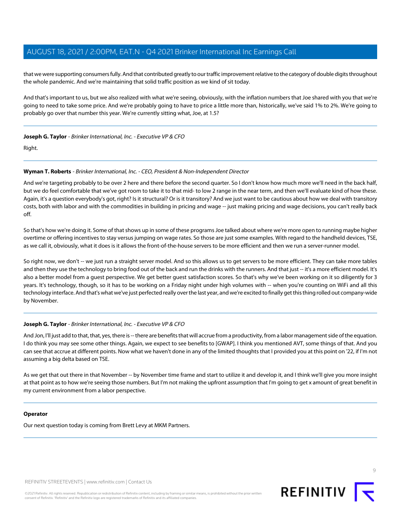that we were supporting consumers fully. And that contributed greatly to our traffic improvement relative to the category of double digits throughout the whole pandemic. And we're maintaining that solid traffic position as we kind of sit today.

And that's important to us, but we also realized with what we're seeing, obviously, with the inflation numbers that Joe shared with you that we're going to need to take some price. And we're probably going to have to price a little more than, historically, we've said 1% to 2%. We're going to probably go over that number this year. We're currently sitting what, Joe, at 1.5?

# **Joseph G. Taylor** - Brinker International, Inc. - Executive VP & CFO

Right.

# **Wyman T. Roberts** - Brinker International, Inc. - CEO, President & Non-Independent Director

And we're targeting probably to be over 2 here and there before the second quarter. So I don't know how much more we'll need in the back half, but we do feel comfortable that we've got room to take it to that mid- to low 2 range in the near term, and then we'll evaluate kind of how these. Again, it's a question everybody's got, right? Is it structural? Or is it transitory? And we just want to be cautious about how we deal with transitory costs, both with labor and with the commodities in building in pricing and wage -- just making pricing and wage decisions, you can't really back off.

So that's how we're doing it. Some of that shows up in some of these programs Joe talked about where we're more open to running maybe higher overtime or offering incentives to stay versus jumping on wage rates. So those are just some examples. With regard to the handheld devices, TSE, as we call it, obviously, what it does is it allows the front-of-the-house servers to be more efficient and then we run a server-runner model.

So right now, we don't -- we just run a straight server model. And so this allows us to get servers to be more efficient. They can take more tables and then they use the technology to bring food out of the back and run the drinks with the runners. And that just -- it's a more efficient model. It's also a better model from a guest perspective. We get better guest satisfaction scores. So that's why we've been working on it so diligently for 3 years. It's technology, though, so it has to be working on a Friday night under high volumes with -- when you're counting on WiFi and all this technology interface. And that's what we've just perfected really over the last year, and we're excited to finally get this thing rolled out company-wide by November.

# **Joseph G. Taylor** - Brinker International, Inc. - Executive VP & CFO

And Jon, I'll just add to that, that, yes, there is -- there are benefits that will accrue from a productivity, from a labor management side of the equation. I do think you may see some other things. Again, we expect to see benefits to [GWAP]. I think you mentioned AVT, some things of that. And you can see that accrue at different points. Now what we haven't done in any of the limited thoughts that I provided you at this point on '22, if I'm not assuming a big delta based on TSE.

As we get that out there in that November -- by November time frame and start to utilize it and develop it, and I think we'll give you more insight at that point as to how we're seeing those numbers. But I'm not making the upfront assumption that I'm going to get x amount of great benefit in my current environment from a labor perspective.

# **Operator**

Our next question today is coming from Brett Levy at MKM Partners.

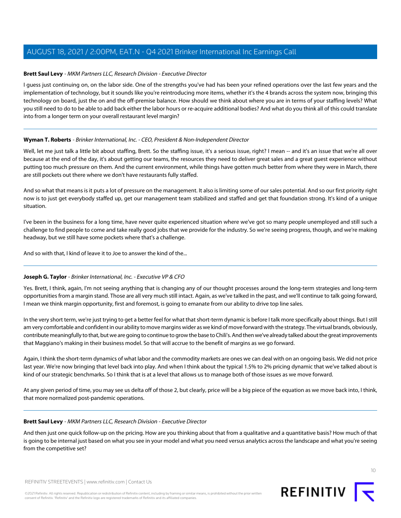# <span id="page-9-0"></span>**Brett Saul Levy** - MKM Partners LLC, Research Division - Executive Director

I guess just continuing on, on the labor side. One of the strengths you've had has been your refined operations over the last few years and the implementation of technology, but it sounds like you're reintroducing more items, whether it's the 4 brands across the system now, bringing this technology on board, just the on and the off-premise balance. How should we think about where you are in terms of your staffing levels? What you still need to do to be able to add back either the labor hours or re-acquire additional bodies? And what do you think all of this could translate into from a longer term on your overall restaurant level margin?

# **Wyman T. Roberts** - Brinker International, Inc. - CEO, President & Non-Independent Director

Well, let me just talk a little bit about staffing, Brett. So the staffing issue, it's a serious issue, right? I mean -- and it's an issue that we're all over because at the end of the day, it's about getting our teams, the resources they need to deliver great sales and a great guest experience without putting too much pressure on them. And the current environment, while things have gotten much better from where they were in March, there are still pockets out there where we don't have restaurants fully staffed.

And so what that means is it puts a lot of pressure on the management. It also is limiting some of our sales potential. And so our first priority right now is to just get everybody staffed up, get our management team stabilized and staffed and get that foundation strong. It's kind of a unique situation.

I've been in the business for a long time, have never quite experienced situation where we've got so many people unemployed and still such a challenge to find people to come and take really good jobs that we provide for the industry. So we're seeing progress, though, and we're making headway, but we still have some pockets where that's a challenge.

And so with that, I kind of leave it to Joe to answer the kind of the...

# **Joseph G. Taylor** - Brinker International, Inc. - Executive VP & CFO

Yes. Brett, I think, again, I'm not seeing anything that is changing any of our thought processes around the long-term strategies and long-term opportunities from a margin stand. Those are all very much still intact. Again, as we've talked in the past, and we'll continue to talk going forward, I mean we think margin opportunity, first and foremost, is going to emanate from our ability to drive top line sales.

In the very short term, we're just trying to get a better feel for what that short-term dynamic is before I talk more specifically about things. But I still am very comfortable and confident in our ability to move margins wider as we kind of move forward with the strategy. The virtual brands, obviously, contribute meaningfully to that, but we are going to continue to grow the base to Chili's. And then we've already talked about the great improvements that Maggiano's making in their business model. So that will accrue to the benefit of margins as we go forward.

Again, I think the short-term dynamics of what labor and the commodity markets are ones we can deal with on an ongoing basis. We did not price last year. We're now bringing that level back into play. And when I think about the typical 1.5% to 2% pricing dynamic that we've talked about is kind of our strategic benchmarks. So I think that is at a level that allows us to manage both of those issues as we move forward.

At any given period of time, you may see us delta off of those 2, but clearly, price will be a big piece of the equation as we move back into, I think, that more normalized post-pandemic operations.

# **Brett Saul Levy** - MKM Partners LLC, Research Division - Executive Director

And then just one quick follow-up on the pricing. How are you thinking about that from a qualitative and a quantitative basis? How much of that is going to be internal just based on what you see in your model and what you need versus analytics across the landscape and what you're seeing from the competitive set?



 $1<sup>0</sup>$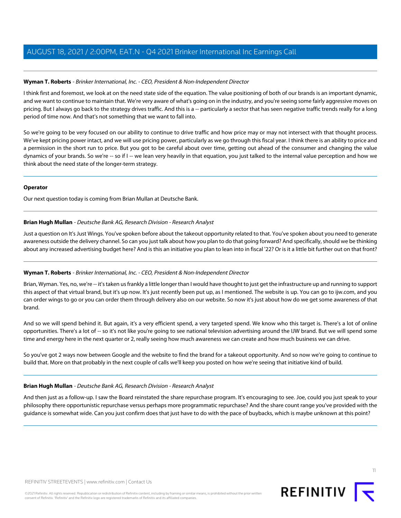# **Wyman T. Roberts** - Brinker International, Inc. - CEO, President & Non-Independent Director

I think first and foremost, we look at on the need state side of the equation. The value positioning of both of our brands is an important dynamic, and we want to continue to maintain that. We're very aware of what's going on in the industry, and you're seeing some fairly aggressive moves on pricing. But I always go back to the strategy drives traffic. And this is a -- particularly a sector that has seen negative traffic trends really for a long period of time now. And that's not something that we want to fall into.

So we're going to be very focused on our ability to continue to drive traffic and how price may or may not intersect with that thought process. We've kept pricing power intact, and we will use pricing power, particularly as we go through this fiscal year. I think there is an ability to price and a permission in the short run to price. But you got to be careful about over time, getting out ahead of the consumer and changing the value dynamics of your brands. So we're -- so if I -- we lean very heavily in that equation, you just talked to the internal value perception and how we think about the need state of the longer-term strategy.

#### **Operator**

<span id="page-10-0"></span>Our next question today is coming from Brian Mullan at Deutsche Bank.

#### **Brian Hugh Mullan** - Deutsche Bank AG, Research Division - Research Analyst

Just a question on It's Just Wings. You've spoken before about the takeout opportunity related to that. You've spoken about you need to generate awareness outside the delivery channel. So can you just talk about how you plan to do that going forward? And specifically, should we be thinking about any increased advertising budget here? And is this an initiative you plan to lean into in fiscal '22? Or is it a little bit further out on that front?

#### **Wyman T. Roberts** - Brinker International, Inc. - CEO, President & Non-Independent Director

Brian, Wyman. Yes, no, we're -- it's taken us frankly a little longer than I would have thought to just get the infrastructure up and running to support this aspect of that virtual brand, but it's up now. It's just recently been put up, as I mentioned. The website is up. You can go to ijw.com, and you can order wings to go or you can order them through delivery also on our website. So now it's just about how do we get some awareness of that brand.

And so we will spend behind it. But again, it's a very efficient spend, a very targeted spend. We know who this target is. There's a lot of online opportunities. There's a lot of -- so it's not like you're going to see national television advertising around the IJW brand. But we will spend some time and energy here in the next quarter or 2, really seeing how much awareness we can create and how much business we can drive.

So you've got 2 ways now between Google and the website to find the brand for a takeout opportunity. And so now we're going to continue to build that. More on that probably in the next couple of calls we'll keep you posted on how we're seeing that initiative kind of build.

#### **Brian Hugh Mullan** - Deutsche Bank AG, Research Division - Research Analyst

And then just as a follow-up. I saw the Board reinstated the share repurchase program. It's encouraging to see. Joe, could you just speak to your philosophy there opportunistic repurchase versus perhaps more programmatic repurchase? And the share count range you've provided with the guidance is somewhat wide. Can you just confirm does that just have to do with the pace of buybacks, which is maybe unknown at this point?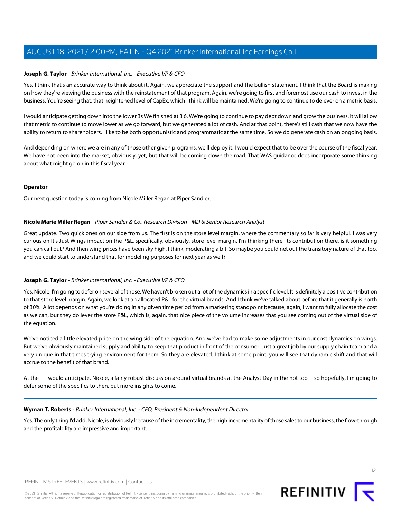# **Joseph G. Taylor** - Brinker International, Inc. - Executive VP & CFO

Yes. I think that's an accurate way to think about it. Again, we appreciate the support and the bullish statement, I think that the Board is making on how they're viewing the business with the reinstatement of that program. Again, we're going to first and foremost use our cash to invest in the business. You're seeing that, that heightened level of CapEx, which I think will be maintained. We're going to continue to delever on a metric basis.

I would anticipate getting down into the lower 3s We finished at 3 6. We're going to continue to pay debt down and grow the business. It will allow that metric to continue to move lower as we go forward, but we generated a lot of cash. And at that point, there's still cash that we now have the ability to return to shareholders. I like to be both opportunistic and programmatic at the same time. So we do generate cash on an ongoing basis.

And depending on where we are in any of those other given programs, we'll deploy it. I would expect that to be over the course of the fiscal year. We have not been into the market, obviously, yet, but that will be coming down the road. That WAS guidance does incorporate some thinking about what might go on in this fiscal year.

#### **Operator**

<span id="page-11-0"></span>Our next question today is coming from Nicole Miller Regan at Piper Sandler.

# **Nicole Marie Miller Regan** - Piper Sandler & Co., Research Division - MD & Senior Research Analyst

Great update. Two quick ones on our side from us. The first is on the store level margin, where the commentary so far is very helpful. I was very curious on It's Just Wings impact on the P&L, specifically, obviously, store level margin. I'm thinking there, its contribution there, is it something you can call out? And then wing prices have been sky high, I think, moderating a bit. So maybe you could net out the transitory nature of that too, and we could start to understand that for modeling purposes for next year as well?

# **Joseph G. Taylor** - Brinker International, Inc. - Executive VP & CFO

Yes, Nicole, I'm going to defer on several of those. We haven't broken out a lot of the dynamics in a specific level. It is definitely a positive contribution to that store level margin. Again, we look at an allocated P&L for the virtual brands. And I think we've talked about before that it generally is north of 30%. A lot depends on what you're doing in any given time period from a marketing standpoint because, again, I want to fully allocate the cost as we can, but they do lever the store P&L, which is, again, that nice piece of the volume increases that you see coming out of the virtual side of the equation.

We've noticed a little elevated price on the wing side of the equation. And we've had to make some adjustments in our cost dynamics on wings. But we've obviously maintained supply and ability to keep that product in front of the consumer. Just a great job by our supply chain team and a very unique in that times trying environment for them. So they are elevated. I think at some point, you will see that dynamic shift and that will accrue to the benefit of that brand.

At the -- I would anticipate, Nicole, a fairly robust discussion around virtual brands at the Analyst Day in the not too -- so hopefully, I'm going to defer some of the specifics to then, but more insights to come.

# **Wyman T. Roberts** - Brinker International, Inc. - CEO, President & Non-Independent Director

Yes. The only thing I'd add, Nicole, is obviously because of the incrementality, the high incrementality of those sales to our business, the flow-through and the profitability are impressive and important.

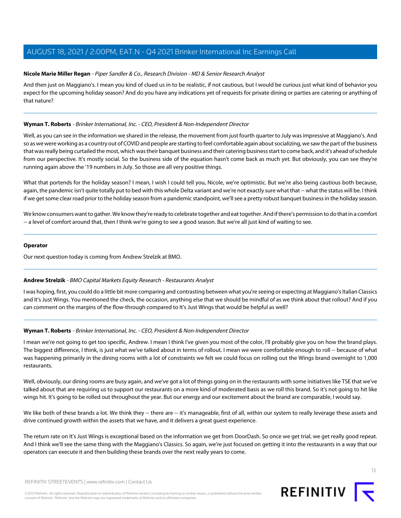# **Nicole Marie Miller Regan** - Piper Sandler & Co., Research Division - MD & Senior Research Analyst

And then just on Maggiano's. I mean you kind of clued us in to be realistic, if not cautious, but I would be curious just what kind of behavior you expect for the upcoming holiday season? And do you have any indications yet of requests for private dining or parties are catering or anything of that nature?

# **Wyman T. Roberts** - Brinker International, Inc. - CEO, President & Non-Independent Director

Well, as you can see in the information we shared in the release, the movement from just fourth quarter to July was impressive at Maggiano's. And so as we were working as a country out of COVID and people are starting to feel comfortable again about socializing, we saw the part of the business that was really being curtailed the most, which was their banquet business and their catering business start to come back, and it's ahead of schedule from our perspective. It's mostly social. So the business side of the equation hasn't come back as much yet. But obviously, you can see they're running again above the '19 numbers in July. So those are all very positive things.

What that portends for the holiday season? I mean, I wish I could tell you, Nicole, we're optimistic. But we're also being cautious both because, again, the pandemic isn't quite totally put to bed with this whole Delta variant and we're not exactly sure what that -- what the status will be. I think if we get some clear road prior to the holiday season from a pandemic standpoint, we'll see a pretty robust banquet business in the holiday season.

We know consumers want to gather. We know they're ready to celebrate together and eat together. And if there's permission to do that in a comfort -- a level of comfort around that, then I think we're going to see a good season. But we're all just kind of waiting to see.

# **Operator**

<span id="page-12-0"></span>Our next question today is coming from Andrew Strelzik at BMO.

# **Andrew Strelzik** - BMO Capital Markets Equity Research - Restaurants Analyst

I was hoping, first, you could do a little bit more comparing and contrasting between what you're seeing or expecting at Maggiano's Italian Classics and It's Just Wings. You mentioned the check, the occasion, anything else that we should be mindful of as we think about that rollout? And if you can comment on the margins of the flow-through compared to It's Just Wings that would be helpful as well?

# **Wyman T. Roberts** - Brinker International, Inc. - CEO, President & Non-Independent Director

I mean we're not going to get too specific, Andrew. I mean I think I've given you most of the color, I'll probably give you on how the brand plays. The biggest difference, I think, is just what we've talked about in terms of rollout. I mean we were comfortable enough to roll -- because of what was happening primarily in the dining rooms with a lot of constraints we felt we could focus on rolling out the Wings brand overnight to 1,000 restaurants.

Well, obviously, our dining rooms are busy again, and we've got a lot of things going on in the restaurants with some initiatives like TSE that we've talked about that are requiring us to support our restaurants on a more kind of moderated basis as we roll this brand. So it's not going to hit like wings hit. It's going to be rolled out throughout the year. But our energy and our excitement about the brand are comparable, I would say.

We like both of these brands a lot. We think they -- there are -- it's manageable, first of all, within our system to really leverage these assets and drive continued growth within the assets that we have, and it delivers a great guest experience.

The return rate on It's Just Wings is exceptional based on the information we get from DoorDash. So once we get trial, we get really good repeat. And I think we'll see the same thing with the Maggiano's Classics. So again, we're just focused on getting it into the restaurants in a way that our operators can execute it and then building these brands over the next really years to come.

REFINITIV STREETEVENTS | [www.refinitiv.com](https://www.refinitiv.com/) | [Contact Us](https://www.refinitiv.com/en/contact-us)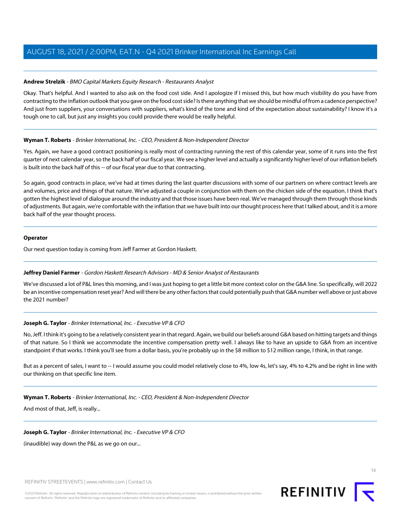# **Andrew Strelzik** - BMO Capital Markets Equity Research - Restaurants Analyst

Okay. That's helpful. And I wanted to also ask on the food cost side. And I apologize if I missed this, but how much visibility do you have from contracting to the inflation outlook that you gave on the food cost side? Is there anything that we should be mindful of from a cadence perspective? And just from suppliers, your conversations with suppliers, what's kind of the tone and kind of the expectation about sustainability? I know it's a tough one to call, but just any insights you could provide there would be really helpful.

# **Wyman T. Roberts** - Brinker International, Inc. - CEO, President & Non-Independent Director

Yes. Again, we have a good contract positioning is really most of contracting running the rest of this calendar year, some of it runs into the first quarter of next calendar year, so the back half of our fiscal year. We see a higher level and actually a significantly higher level of our inflation beliefs is built into the back half of this -- of our fiscal year due to that contracting.

So again, good contracts in place, we've had at times during the last quarter discussions with some of our partners on where contract levels are and volumes, price and things of that nature. We've adjusted a couple in conjunction with them on the chicken side of the equation. I think that's gotten the highest level of dialogue around the industry and that those issues have been real. We've managed through them through those kinds of adjustments. But again, we're comfortable with the inflation that we have built into our thought process here that I talked about, and it is a more back half of the year thought process.

#### **Operator**

<span id="page-13-0"></span>Our next question today is coming from Jeff Farmer at Gordon Haskett.

# **Jeffrey Daniel Farmer** - Gordon Haskett Research Advisors - MD & Senior Analyst of Restaurants

We've discussed a lot of P&L lines this morning, and I was just hoping to get a little bit more context color on the G&A line. So specifically, will 2022 be an incentive compensation reset year? And will there be any other factors that could potentially push that G&A number well above or just above the 2021 number?

# **Joseph G. Taylor** - Brinker International, Inc. - Executive VP & CFO

No, Jeff. I think it's going to be a relatively consistent year in that regard. Again, we build our beliefs around G&A based on hitting targets and things of that nature. So I think we accommodate the incentive compensation pretty well. I always like to have an upside to G&A from an incentive standpoint if that works. I think you'll see from a dollar basis, you're probably up in the \$8 million to \$12 million range, I think, in that range.

But as a percent of sales, I want to -- I would assume you could model relatively close to 4%, low 4s, let's say, 4% to 4.2% and be right in line with our thinking on that specific line item.

# **Wyman T. Roberts** - Brinker International, Inc. - CEO, President & Non-Independent Director

And most of that, Jeff, is really...

# **Joseph G. Taylor** - Brinker International, Inc. - Executive VP & CFO

(inaudible) way down the P&L as we go on our...

REFINITIV STREETEVENTS | [www.refinitiv.com](https://www.refinitiv.com/) | [Contact Us](https://www.refinitiv.com/en/contact-us)

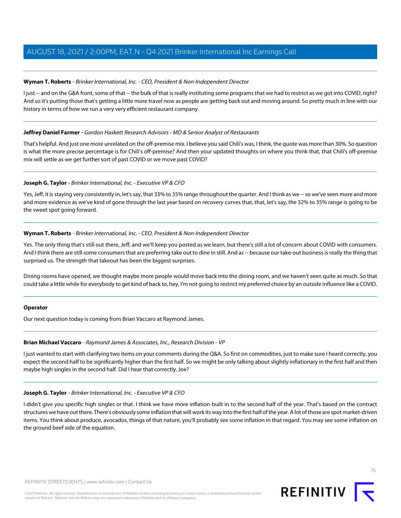# **Wyman T. Roberts** - Brinker International, Inc. - CEO, President & Non-Independent Director

I just -- and on the G&A front, some of that -- the bulk of that is really instituting some programs that we had to restrict as we got into COVID, right? And so it's putting those that's getting a little more travel now as people are getting back out and moving around. So pretty much in line with our history in terms of how we run a very very efficient restaurant company.

# **Jeffrey Daniel Farmer** - Gordon Haskett Research Advisors - MD & Senior Analyst of Restaurants

That's helpful. And just one more unrelated on the off-premise mix. I believe you said Chili's was, I think, the quote was more than 30%. So question is what the more precise percentage is for Chili's off-premise? And then your updated thoughts on where you think that, that Chili's off-premise mix will settle as we get further sort of past COVID or we move past COVID?

# **Joseph G. Taylor** - Brinker International, Inc. - Executive VP & CFO

Yes, Jeff, it is staying very consistently in, let's say, that 33% to 35% range throughout the quarter. And I think as we -- so we've seen more and more and more evidence as we've kind of gone through the last year based on recovery curves that, that, let's say, the 32% to 35% range is going to be the sweet spot going forward.

# **Wyman T. Roberts** - Brinker International, Inc. - CEO, President & Non-Independent Director

Yes. The only thing that's still out there, Jeff, and we'll keep you posted as we learn, but there's still a lot of concern about COVID with consumers. And I think there are still some consumers that are preferring take out to dine in still. And as -- because our take-out business is really the thing that surprised us. The strength that takeout has been the biggest surprises.

Dining rooms have opened, we thought maybe more people would move back into the dining room, and we haven't seen quite as much. So that could take a little while for everybody to get kind of back to, hey, I'm not going to restrict my preferred choice by an outside influence like a COVID.

# <span id="page-14-0"></span>**Operator**

Our next question today is coming from Brian Vaccaro at Raymond James.

# **Brian Michael Vaccaro** - Raymond James & Associates, Inc., Research Division - VP

I just wanted to start with clarifying two items on your comments during the Q&A. So first on commodities, just to make sure I heard correctly, you expect the second half to be significantly higher than the first half. So we might be only talking about slightly inflationary in the first half and then maybe high singles in the second half. Did I hear that correctly, Joe?

# **Joseph G. Taylor** - Brinker International, Inc. - Executive VP & CFO

I didn't give you specific high singles or that. I think we have more inflation built in to the second half of the year. That's based on the contract structures we have out there. There's obviously some inflation that will work its way into the first half of the year. A lot of those are spot market-driven items. You think about produce, avocados, things of that nature, you'll probably see some inflation in that regard. You may see some inflation on the ground beef side of the equation.

15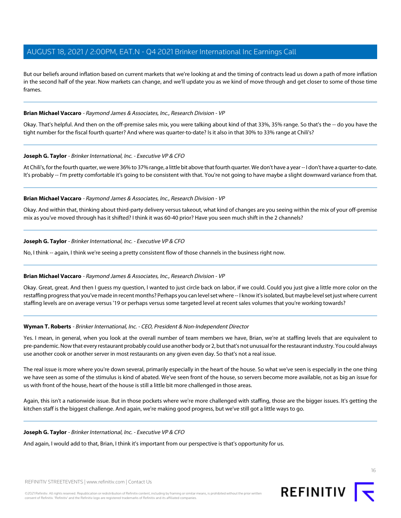But our beliefs around inflation based on current markets that we're looking at and the timing of contracts lead us down a path of more inflation in the second half of the year. Now markets can change, and we'll update you as we kind of move through and get closer to some of those time frames.

# **Brian Michael Vaccaro** - Raymond James & Associates, Inc., Research Division - VP

Okay. That's helpful. And then on the off-premise sales mix, you were talking about kind of that 33%, 35% range. So that's the -- do you have the tight number for the fiscal fourth quarter? And where was quarter-to-date? Is it also in that 30% to 33% range at Chili's?

#### **Joseph G. Taylor** - Brinker International, Inc. - Executive VP & CFO

At Chili's, for the fourth quarter, we were 36% to 37% range, a little bit above that fourth quarter. We don't have a year -- I don't have a quarter-to-date. It's probably -- I'm pretty comfortable it's going to be consistent with that. You're not going to have maybe a slight downward variance from that.

#### **Brian Michael Vaccaro** - Raymond James & Associates, Inc., Research Division - VP

Okay. And within that, thinking about third-party delivery versus takeout, what kind of changes are you seeing within the mix of your off-premise mix as you've moved through has it shifted? I think it was 60-40 prior? Have you seen much shift in the 2 channels?

#### **Joseph G. Taylor** - Brinker International, Inc. - Executive VP & CFO

No, I think -- again, I think we're seeing a pretty consistent flow of those channels in the business right now.

# **Brian Michael Vaccaro** - Raymond James & Associates, Inc., Research Division - VP

Okay. Great, great. And then I guess my question, I wanted to just circle back on labor, if we could. Could you just give a little more color on the restaffing progress that you've made in recent months? Perhaps you can level set where -- I know it's isolated, but maybe level set just where current staffing levels are on average versus '19 or perhaps versus some targeted level at recent sales volumes that you're working towards?

#### **Wyman T. Roberts** - Brinker International, Inc. - CEO, President & Non-Independent Director

Yes. I mean, in general, when you look at the overall number of team members we have, Brian, we're at staffing levels that are equivalent to pre-pandemic. Now that every restaurant probably could use another body or 2, but that's not unusual for the restaurant industry. You could always use another cook or another server in most restaurants on any given even day. So that's not a real issue.

The real issue is more where you're down several, primarily especially in the heart of the house. So what we've seen is especially in the one thing we have seen as some of the stimulus is kind of abated. We've seen front of the house, so servers become more available, not as big an issue for us with front of the house, heart of the house is still a little bit more challenged in those areas.

Again, this isn't a nationwide issue. But in those pockets where we're more challenged with staffing, those are the bigger issues. It's getting the kitchen staff is the biggest challenge. And again, we're making good progress, but we've still got a little ways to go.

#### **Joseph G. Taylor** - Brinker International, Inc. - Executive VP & CFO

And again, I would add to that, Brian, I think it's important from our perspective is that's opportunity for us.



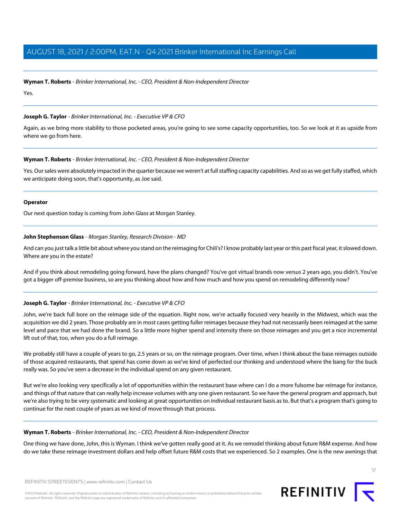#### **Wyman T. Roberts** - Brinker International, Inc. - CEO, President & Non-Independent Director

Yes.

#### **Joseph G. Taylor** - Brinker International, Inc. - Executive VP & CFO

Again, as we bring more stability to those pocketed areas, you're going to see some capacity opportunities, too. So we look at it as upside from where we go from here.

# **Wyman T. Roberts** - Brinker International, Inc. - CEO, President & Non-Independent Director

Yes. Our sales were absolutely impacted in the quarter because we weren't at full staffing capacity capabilities. And so as we get fully staffed, which we anticipate doing soon, that's opportunity, as Joe said.

#### **Operator**

<span id="page-16-0"></span>Our next question today is coming from John Glass at Morgan Stanley.

#### **John Stephenson Glass** - Morgan Stanley, Research Division - MD

And can you just talk a little bit about where you stand on the reimaging for Chili's? I know probably last year or this past fiscal year, it slowed down. Where are you in the estate?

And if you think about remodeling going forward, have the plans changed? You've got virtual brands now versus 2 years ago, you didn't. You've got a bigger off-premise business, so are you thinking about how and how much and how you spend on remodeling differently now?

#### **Joseph G. Taylor** - Brinker International, Inc. - Executive VP & CFO

John, we're back full bore on the reimage side of the equation. Right now, we're actually focused very heavily in the Midwest, which was the acquisition we did 2 years. Those probably are in most cases getting fuller reimages because they had not necessarily been reimaged at the same level and pace that we had done the brand. So a little more higher spend and intensity there on those reimages and you get a nice incremental lift out of that, too, when you do a full reimage.

We probably still have a couple of years to go, 2.5 years or so, on the reimage program. Over time, when I think about the base reimages outside of those acquired restaurants, that spend has come down as we've kind of perfected our thinking and understood where the bang for the buck really was. So you've seen a decrease in the individual spend on any given restaurant.

But we're also looking very specifically a lot of opportunities within the restaurant base where can I do a more fulsome bar reimage for instance, and things of that nature that can really help increase volumes with any one given restaurant. So we have the general program and approach, but we're also trying to be very systematic and looking at great opportunities on individual restaurant basis as to. But that's a program that's going to continue for the next couple of years as we kind of move through that process.

#### **Wyman T. Roberts** - Brinker International, Inc. - CEO, President & Non-Independent Director

One thing we have done, John, this is Wyman. I think we've gotten really good at it. As we remodel thinking about future R&M expense. And how do we take these reimage investment dollars and help offset future R&M costs that we experienced. So 2 examples. One is the new awnings that

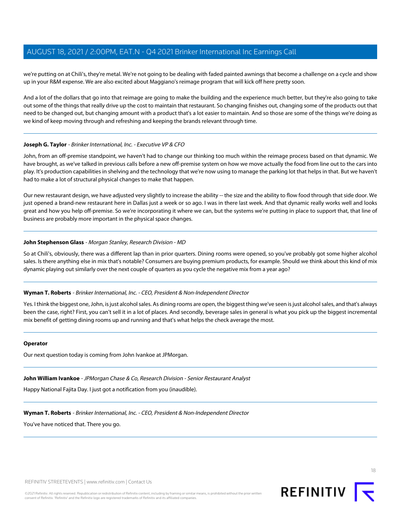we're putting on at Chili's, they're metal. We're not going to be dealing with faded painted awnings that become a challenge on a cycle and show up in your R&M expense. We are also excited about Maggiano's reimage program that will kick off here pretty soon.

And a lot of the dollars that go into that reimage are going to make the building and the experience much better, but they're also going to take out some of the things that really drive up the cost to maintain that restaurant. So changing finishes out, changing some of the products out that need to be changed out, but changing amount with a product that's a lot easier to maintain. And so those are some of the things we're doing as we kind of keep moving through and refreshing and keeping the brands relevant through time.

# **Joseph G. Taylor** - Brinker International, Inc. - Executive VP & CFO

John, from an off-premise standpoint, we haven't had to change our thinking too much within the reimage process based on that dynamic. We have brought, as we've talked in previous calls before a new off-premise system on how we move actually the food from line out to the cars into play. It's production capabilities in shelving and the technology that we're now using to manage the parking lot that helps in that. But we haven't had to make a lot of structural physical changes to make that happen.

Our new restaurant design, we have adjusted very slightly to increase the ability -- the size and the ability to flow food through that side door. We just opened a brand-new restaurant here in Dallas just a week or so ago. I was in there last week. And that dynamic really works well and looks great and how you help off-premise. So we're incorporating it where we can, but the systems we're putting in place to support that, that line of business are probably more important in the physical space changes.

# **John Stephenson Glass** - Morgan Stanley, Research Division - MD

So at Chili's, obviously, there was a different lap than in prior quarters. Dining rooms were opened, so you've probably got some higher alcohol sales. Is there anything else in mix that's notable? Consumers are buying premium products, for example. Should we think about this kind of mix dynamic playing out similarly over the next couple of quarters as you cycle the negative mix from a year ago?

#### **Wyman T. Roberts** - Brinker International, Inc. - CEO, President & Non-Independent Director

Yes. I think the biggest one, John, is just alcohol sales. As dining rooms are open, the biggest thing we've seen is just alcohol sales, and that's always been the case, right? First, you can't sell it in a lot of places. And secondly, beverage sales in general is what you pick up the biggest incremental mix benefit of getting dining rooms up and running and that's what helps the check average the most.

#### <span id="page-17-0"></span>**Operator**

Our next question today is coming from John Ivankoe at JPMorgan.

# **John William Ivankoe** - JPMorgan Chase & Co, Research Division - Senior Restaurant Analyst

Happy National Fajita Day. I just got a notification from you (inaudible).

#### **Wyman T. Roberts** - Brinker International, Inc. - CEO, President & Non-Independent Director

You've have noticed that. There you go.

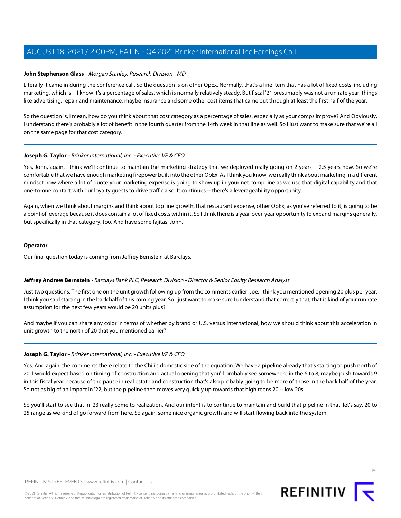#### **John Stephenson Glass** - Morgan Stanley, Research Division - MD

Literally it came in during the conference call. So the question is on other OpEx. Normally, that's a line item that has a lot of fixed costs, including marketing, which is -- I know it's a percentage of sales, which is normally relatively steady. But fiscal '21 presumably was not a run rate year, things like advertising, repair and maintenance, maybe insurance and some other cost items that came out through at least the first half of the year.

So the question is, I mean, how do you think about that cost category as a percentage of sales, especially as your comps improve? And Obviously, I understand there's probably a lot of benefit in the fourth quarter from the 14th week in that line as well. So I just want to make sure that we're all on the same page for that cost category.

# **Joseph G. Taylor** - Brinker International, Inc. - Executive VP & CFO

Yes, John, again, I think we'll continue to maintain the marketing strategy that we deployed really going on 2 years -- 2.5 years now. So we're comfortable that we have enough marketing firepower built into the other OpEx. As I think you know, we really think about marketing in a different mindset now where a lot of quote your marketing expense is going to show up in your net comp line as we use that digital capability and that one-to-one contact with our loyalty guests to drive traffic also. It continues -- there's a leverageability opportunity.

Again, when we think about margins and think about top line growth, that restaurant expense, other OpEx, as you've referred to it, is going to be a point of leverage because it does contain a lot of fixed costs within it. So I think there is a year-over-year opportunity to expand margins generally, but specifically in that category, too. And have some fajitas, John.

#### **Operator**

<span id="page-18-0"></span>Our final question today is coming from Jeffrey Bernstein at Barclays.

#### **Jeffrey Andrew Bernstein** - Barclays Bank PLC, Research Division - Director & Senior Equity Research Analyst

Just two questions. The first one on the unit growth following up from the comments earlier. Joe, I think you mentioned opening 20 plus per year. I think you said starting in the back half of this coming year. So I just want to make sure I understand that correctly that, that is kind of your run rate assumption for the next few years would be 20 units plus?

And maybe if you can share any color in terms of whether by brand or U.S. versus international, how we should think about this acceleration in unit growth to the north of 20 that you mentioned earlier?

#### **Joseph G. Taylor** - Brinker International, Inc. - Executive VP & CFO

Yes. And again, the comments there relate to the Chili's domestic side of the equation. We have a pipeline already that's starting to push north of 20. I would expect based on timing of construction and actual opening that you'll probably see somewhere in the 6 to 8, maybe push towards 9 in this fiscal year because of the pause in real estate and construction that's also probably going to be more of those in the back half of the year. So not as big of an impact in '22, but the pipeline then moves very quickly up towards that high teens 20 -- low 20s.

So you'll start to see that in '23 really come to realization. And our intent is to continue to maintain and build that pipeline in that, let's say, 20 to 25 range as we kind of go forward from here. So again, some nice organic growth and will start flowing back into the system.

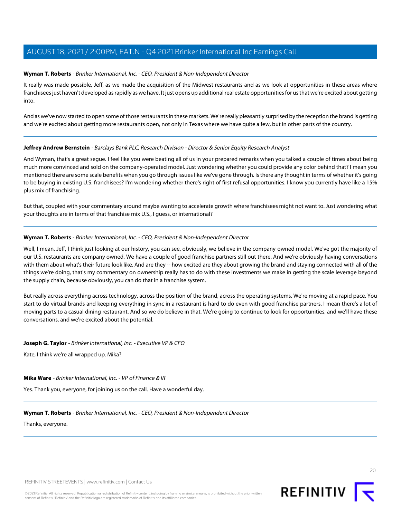# **Wyman T. Roberts** - Brinker International, Inc. - CEO, President & Non-Independent Director

It really was made possible, Jeff, as we made the acquisition of the Midwest restaurants and as we look at opportunities in these areas where franchisees just haven't developed as rapidly as we have. It just opens up additional real estate opportunities for us that we're excited about getting into.

And as we've now started to open some of those restaurants in these markets. We're really pleasantly surprised by the reception the brand is getting and we're excited about getting more restaurants open, not only in Texas where we have quite a few, but in other parts of the country.

# **Jeffrey Andrew Bernstein** - Barclays Bank PLC, Research Division - Director & Senior Equity Research Analyst

And Wyman, that's a great segue. I feel like you were beating all of us in your prepared remarks when you talked a couple of times about being much more convinced and sold on the company-operated model. Just wondering whether you could provide any color behind that? I mean you mentioned there are some scale benefits when you go through issues like we've gone through. Is there any thought in terms of whether it's going to be buying in existing U.S. franchisees? I'm wondering whether there's right of first refusal opportunities. I know you currently have like a 15% plus mix of franchising.

But that, coupled with your commentary around maybe wanting to accelerate growth where franchisees might not want to. Just wondering what your thoughts are in terms of that franchise mix U.S., I guess, or international?

# **Wyman T. Roberts** - Brinker International, Inc. - CEO, President & Non-Independent Director

Well, I mean, Jeff, I think just looking at our history, you can see, obviously, we believe in the company-owned model. We've got the majority of our U.S. restaurants are company owned. We have a couple of good franchise partners still out there. And we're obviously having conversations with them about what's their future look like. And are they -- how excited are they about growing the brand and staying connected with all of the things we're doing, that's my commentary on ownership really has to do with these investments we make in getting the scale leverage beyond the supply chain, because obviously, you can do that in a franchise system.

But really across everything across technology, across the position of the brand, across the operating systems. We're moving at a rapid pace. You start to do virtual brands and keeping everything in sync in a restaurant is hard to do even with good franchise partners. I mean there's a lot of moving parts to a casual dining restaurant. And so we do believe in that. We're going to continue to look for opportunities, and we'll have these conversations, and we're excited about the potential.

# **Joseph G. Taylor** - Brinker International, Inc. - Executive VP & CFO

Kate, I think we're all wrapped up. Mika?

# **Mika Ware** - Brinker International, Inc. - VP of Finance & IR

Yes. Thank you, everyone, for joining us on the call. Have a wonderful day.

# **Wyman T. Roberts** - Brinker International, Inc. - CEO, President & Non-Independent Director

Thanks, everyone.